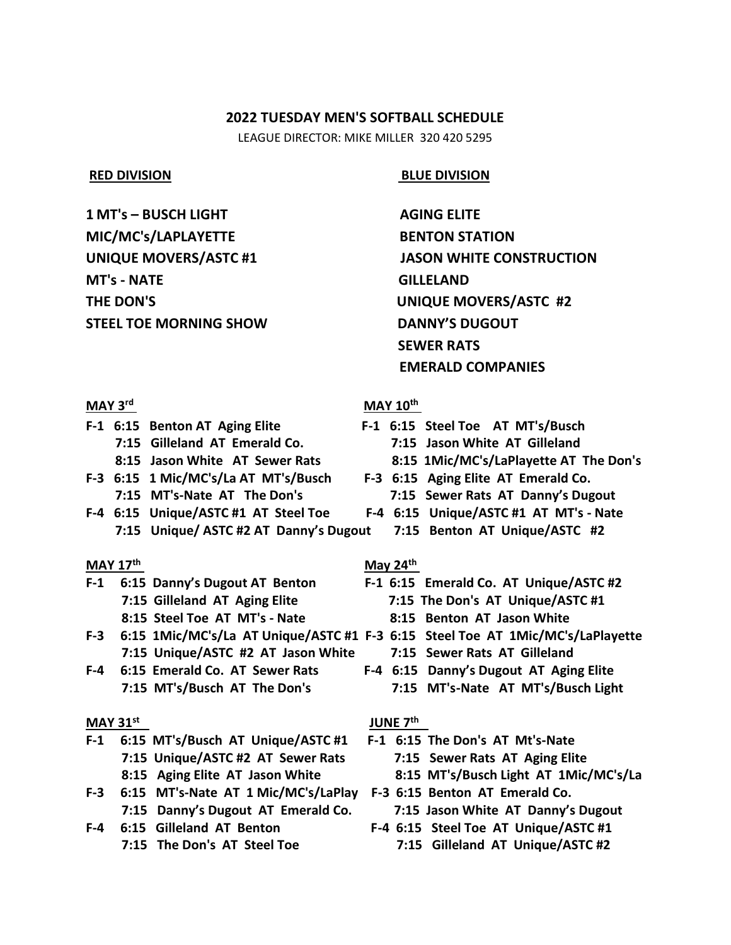## **2022 TUESDAY MEN'S SOFTBALL SCHEDULE**

LEAGUE DIRECTOR: MIKE MILLER 320 420 5295

**1 MT's – BUSCH LIGHT AGING ELITE MIC/MC's/LAPLAYETTE BENTON STATION MT's - NATE GILLELAND THE DON'S UNIQUE MOVERS/ASTC #2 STEEL TOE MORNING SHOW DANNY'S DUGOUT**

## **RED DIVISION BLUE DIVISION**

**UNIQUE MOVERS/ASTC #1** JASON WHITE CONSTRUCTION  **SEWER RATS EMERALD COMPANIES** 

#### **MAY 3rd**

- 
- **F-3 6:15 1 Mic/MC's/La AT MT's/Busch F-3 6:15 Aging Elite AT Emerald Co.**
- **F-4 6:15 Unique/ASTC #1 AT Steel Toe F-4 6:15 Unique/ASTC #1 AT MT's - Nate 7:15 Unique/ ASTC #2 AT Danny's Dugout 7:15 Benton AT Unique/ASTC #2**

## **MAY 17th**

- **F-1 6:15 Danny's Dugout AT Benton F-1 6:15 Emerald Co. AT Unique/ASTC #2 8:15 Steel Toe AT MT's - Nate 8:15 Benton AT Jason White**
- **F-3 6:15 1Mic/MC's/La AT Unique/ASTC #1 F-3 6:15 Steel Toe AT 1Mic/MC's/LaPlayette 7:15 Unique/ASTC #2 AT Jason White 7:15 Sewer Rats AT Gilleland**
- **F-4 6:15 Emerald Co. AT Sewer Rats F-4 6:15 Danny's Dugout AT Aging Elite**

## **MAY 31st**

- **F-1 6:15 MT's/Busch AT Unique/ASTC #1 F-1 6:15 The Don's AT Mt's-Nate 7:15 Unique/ASTC #2 AT Sewer Rats 7:15 Sewer Rats AT Aging Elite**
- **F-3 6:15 MT's-Nate AT 1 Mic/MC's/LaPlay F-3 6:15 Benton AT Emerald Co. 7:15 Danny's Dugout AT Emerald Co. 7:15 Jason White AT Danny's Dugout**
- 

## **MAY 10<sup>th</sup>**

- **F-1 6:15 Benton AT Aging Elite F-1 6:15 Steel Toe AT MT's/Busch 7:15 Gilleland AT Emerald Co. 7:15 Jason White AT Gilleland**
	- **8:15 Jason White AT Sewer Rats 8:15 1Mic/MC's/LaPlayette AT The Don's**
	- **7:15 MT's-Nate AT The Don's 7:15 Sewer Rats AT Danny's Dugout**
		- -

## **May 24th**

- **7:15 Gilleland AT Aging Elite 7:15 The Don's AT Unique/ASTC #1**
	-
	- -
- **7:15 MT's/Busch AT The Don's 7:15 MT's-Nate AT MT's/Busch Light**

## **JUNE 7th**

- **8:15 Aging Elite AT Jason White 8:15 MT's/Busch Light AT 1Mic/MC's/La**
	-
- **F-4 6:15 Gilleland AT Benton F-4 6:15 Steel Toe AT Unique/ASTC #1 7:15 The Don's AT Steel Toe 7:15 Gilleland AT Unique/ASTC #2**